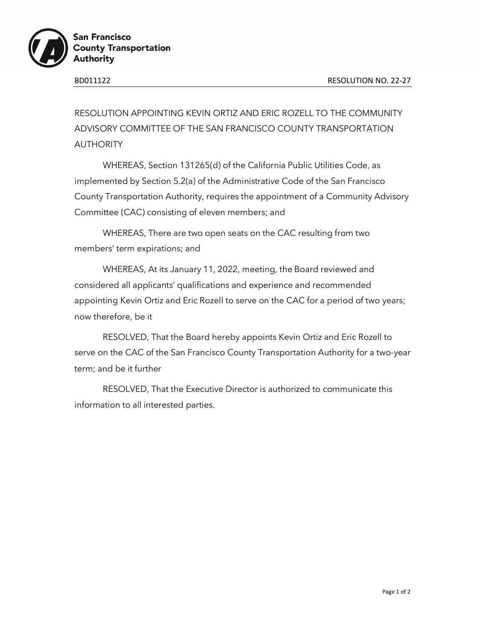

RESOLUTION APPOINTING KEVIN ORTIZ AND ERIC ROZELL TO THE COMMUNITY ADVISORY COMMITTEE OF THE SAN FRANCISCO COUNTY TRANSPORTATION AUTHORITY

WHEREAS, Section 131265(d) of the California Public Utilities Code, as implemented by Section 5.2(a) of the Administrative Code of the San Francisco County Transportation Authority, requires the appointment of a Community Advisory Committee (CAC) consisting of eleven members; and

WHEREAS, There are two open seats on the CAC resulting from two members' term expirations; and

WHEREAS, At its January 11, 2022, meeting, the Board reviewed and considered all applicants' qualifications and experience and recommended appointing Kevin Ortiz and Eric Rozell to serve on the CAC for a period of two years; now therefore, be it

RESOLVED, That the Board hereby appoints Kevin Ortiz and Eric Rozell to serve on the CAC of the San Francisco County Transportation Authority for a two-year term; and be it further

RESOLVED, That the Executive Director is authorized to communicate this information to all interested parties.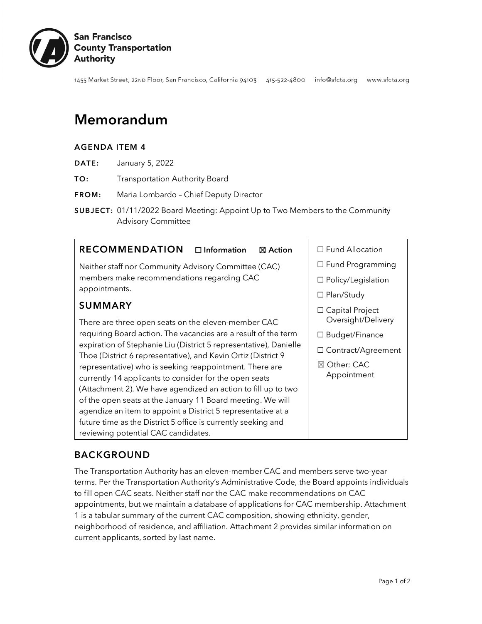

1455 Market Street, 22ND Floor, San Francisco, California 94103 415-522-4800 info@sfcta.org www.sfcta.org

# Memorandum

#### AGENDA ITEM 4

- DATE: January 5, 2022
- TO: Transportation Authority Board
- FROM: Maria Lombardo Chief Deputy Director
- SUBJECT: 01/11/2022 Board Meeting: Appoint Up to Two Members to the Community Advisory Committee

#### **RECOMMENDATION** □ Information **⊠** Action

Neither staff nor Community Advisory Committee (CAC) members make recommendations regarding CAC appointments.

# SUMMARY

There are three open seats on the eleven-member CAC requiring Board action. The vacancies are a result of the term expiration of Stephanie Liu (District 5 representative), Danielle Thoe (District 6 representative), and Kevin Ortiz (District 9 representative) who is seeking reappointment. There are currently 14 applicants to consider for the open seats (Attachment 2). We have agendized an action to fill up to two of the open seats at the January 11 Board meeting. We will agendize an item to appoint a District 5 representative at a future time as the District 5 office is currently seeking and reviewing potential CAC candidates.

☐ Fund Allocation

- ☐ Fund Programming
- ☐ Policy/Legislation
- ☐ Plan/Study
- ☐ Capital Project Oversight/Delivery
- ☐ Budget/Finance
- ☐ Contract/Agreement
- ☒ Other: CAC Appointment

# BACKGROUND

The Transportation Authority has an eleven-member CAC and members serve two-year terms. Per the Transportation Authority's Administrative Code, the Board appoints individuals to fill open CAC seats. Neither staff nor the CAC make recommendations on CAC appointments, but we maintain a database of applications for CAC membership. Attachment 1 is a tabular summary of the current CAC composition, showing ethnicity, gender, neighborhood of residence, and affiliation. Attachment 2 provides similar information on current applicants, sorted by last name.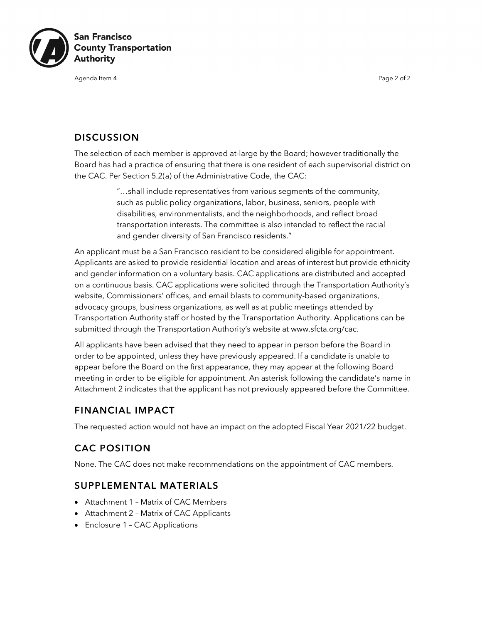

Agenda Item 4 Page 2 of 2

#### **DISCUSSION**

The selection of each member is approved at-large by the Board; however traditionally the Board has had a practice of ensuring that there is one resident of each supervisorial district on the CAC. Per Section 5.2(a) of the Administrative Code, the CAC:

> "…shall include representatives from various segments of the community, such as public policy organizations, labor, business, seniors, people with disabilities, environmentalists, and the neighborhoods, and reflect broad transportation interests. The committee is also intended to reflect the racial and gender diversity of San Francisco residents."

An applicant must be a San Francisco resident to be considered eligible for appointment. Applicants are asked to provide residential location and areas of interest but provide ethnicity and gender information on a voluntary basis. CAC applications are distributed and accepted on a continuous basis. CAC applications were solicited through the Transportation Authority's website, Commissioners' offices, and email blasts to community-based organizations, advocacy groups, business organizations, as well as at public meetings attended by Transportation Authority staff or hosted by the Transportation Authority. Applications can be submitted through the Transportation Authority's website at www.sfcta.org/cac.

All applicants have been advised that they need to appear in person before the Board in order to be appointed, unless they have previously appeared. If a candidate is unable to appear before the Board on the first appearance, they may appear at the following Board meeting in order to be eligible for appointment. An asterisk following the candidate's name in Attachment 2 indicates that the applicant has not previously appeared before the Committee.

### FINANCIAL IMPACT

The requested action would not have an impact on the adopted Fiscal Year 2021/22 budget.

# CAC POSITION

None. The CAC does not make recommendations on the appointment of CAC members.

### SUPPLEMENTAL MATERIALS

- Attachment 1 Matrix of CAC Members
- Attachment 2 Matrix of CAC Applicants
- Enclosure 1 CAC Applications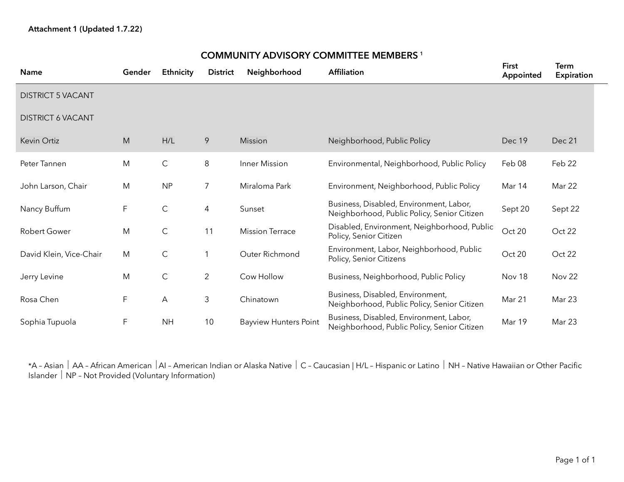| <b>Name</b>              | Gender | Ethnicity    | <b>District</b> | Neighborhood                 | <b>Affiliation</b>                                                                     | <b>First</b><br>Appointed | Term<br><b>Expiration</b> |
|--------------------------|--------|--------------|-----------------|------------------------------|----------------------------------------------------------------------------------------|---------------------------|---------------------------|
| <b>DISTRICT 5 VACANT</b> |        |              |                 |                              |                                                                                        |                           |                           |
| <b>DISTRICT 6 VACANT</b> |        |              |                 |                              |                                                                                        |                           |                           |
| Kevin Ortiz              | M      | H/L          | 9               | Mission                      | Neighborhood, Public Policy                                                            | Dec 19                    | Dec 21                    |
| Peter Tannen             | M      | $\mathsf{C}$ | 8               | Inner Mission                | Environmental, Neighborhood, Public Policy                                             | Feb 08                    | Feb 22                    |
| John Larson, Chair       | M      | <b>NP</b>    | 7               | Miraloma Park                | Environment, Neighborhood, Public Policy                                               | Mar 14                    | Mar 22                    |
| Nancy Buffum             | F      | $\mathsf C$  | 4               | Sunset                       | Business, Disabled, Environment, Labor,<br>Neighborhood, Public Policy, Senior Citizen | Sept 20                   | Sept 22                   |
| <b>Robert Gower</b>      | M      | $\mathsf C$  | 11              | <b>Mission Terrace</b>       | Disabled, Environment, Neighborhood, Public<br>Policy, Senior Citizen                  | Oct 20                    | Oct 22                    |
| David Klein, Vice-Chair  | M      | $\mathsf C$  |                 | Outer Richmond               | Environment, Labor, Neighborhood, Public<br>Policy, Senior Citizens                    | Oct 20                    | Oct 22                    |
| Jerry Levine             | M      | $\mathsf C$  | $\overline{2}$  | Cow Hollow                   | Business, Neighborhood, Public Policy                                                  | Nov 18                    | <b>Nov 22</b>             |
| Rosa Chen                | F      | Α            | 3               | Chinatown                    | Business, Disabled, Environment,<br>Neighborhood, Public Policy, Senior Citizen        | Mar 21                    | Mar 23                    |
| Sophia Tupuola           | F      | <b>NH</b>    | 10              | <b>Bayview Hunters Point</b> | Business, Disabled, Environment, Labor,<br>Neighborhood, Public Policy, Senior Citizen | Mar 19                    | Mar 23                    |

# COMMUNITY ADVISORY COMMITTEE MEMBERS <sup>1</sup>

\*A - Asian | AA - African American | AI - American Indian or Alaska Native | C - Caucasian | H/L - Hispanic or Latino | NH - Native Hawaiian or Other Pacific Islander | NP - Not Provided (Voluntary Information)